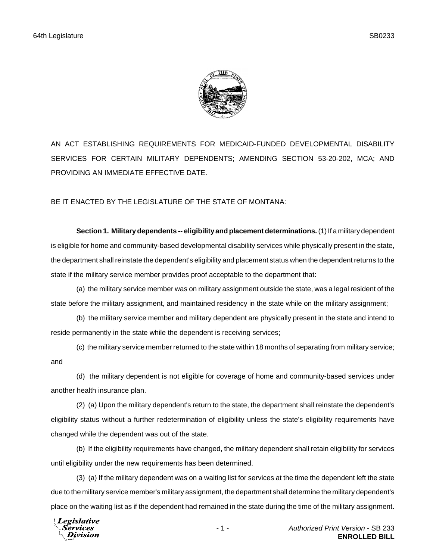

AN ACT ESTABLISHING REQUIREMENTS FOR MEDICAID-FUNDED DEVELOPMENTAL DISABILITY SERVICES FOR CERTAIN MILITARY DEPENDENTS; AMENDING SECTION 53-20-202, MCA; AND PROVIDING AN IMMEDIATE EFFECTIVE DATE.

BE IT ENACTED BY THE LEGISLATURE OF THE STATE OF MONTANA:

**Section 1. Military dependents -- eligibility and placement determinations.** (1) If a military dependent is eligible for home and community-based developmental disability services while physically present in the state, the department shall reinstate the dependent's eligibility and placement status when the dependent returns to the state if the military service member provides proof acceptable to the department that:

(a) the military service member was on military assignment outside the state, was a legal resident of the state before the military assignment, and maintained residency in the state while on the military assignment;

(b) the military service member and military dependent are physically present in the state and intend to reside permanently in the state while the dependent is receiving services;

(c) the military service member returned to the state within 18 months of separating from military service; and

(d) the military dependent is not eligible for coverage of home and community-based services under another health insurance plan.

(2) (a) Upon the military dependent's return to the state, the department shall reinstate the dependent's eligibility status without a further redetermination of eligibility unless the state's eligibility requirements have changed while the dependent was out of the state.

(b) If the eligibility requirements have changed, the military dependent shall retain eligibility for services until eligibility under the new requirements has been determined.

(3) (a) If the military dependent was on a waiting list for services at the time the dependent left the state due to the military service member's military assignment, the department shall determine the military dependent's place on the waiting list as if the dependent had remained in the state during the time of the military assignment.

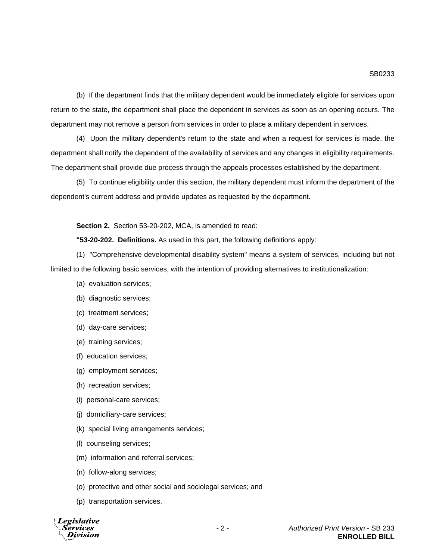(b) If the department finds that the military dependent would be immediately eligible for services upon return to the state, the department shall place the dependent in services as soon as an opening occurs. The department may not remove a person from services in order to place a military dependent in services.

(4) Upon the military dependent's return to the state and when a request for services is made, the department shall notify the dependent of the availability of services and any changes in eligibility requirements. The department shall provide due process through the appeals processes established by the department.

(5) To continue eligibility under this section, the military dependent must inform the department of the dependent's current address and provide updates as requested by the department.

**Section 2.** Section 53-20-202, MCA, is amended to read:

**"53-20-202. Definitions.** As used in this part, the following definitions apply:

(1) "Comprehensive developmental disability system" means a system of services, including but not limited to the following basic services, with the intention of providing alternatives to institutionalization:

- (a) evaluation services;
- (b) diagnostic services;
- (c) treatment services;
- (d) day-care services;
- (e) training services;
- (f) education services;
- (g) employment services;
- (h) recreation services;
- (i) personal-care services;
- (j) domiciliary-care services;
- (k) special living arrangements services;
- (l) counseling services;
- (m) information and referral services;
- (n) follow-along services;
- (o) protective and other social and sociolegal services; and
- (p) transportation services.

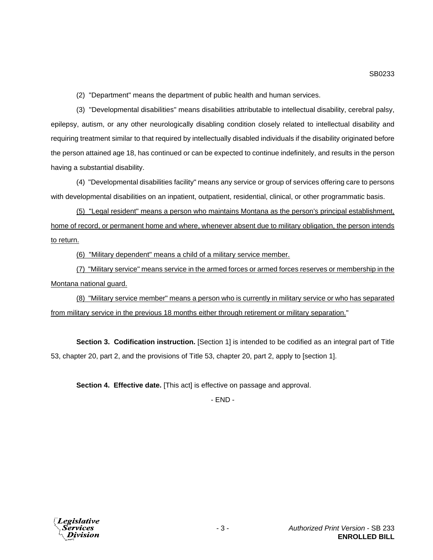(2) "Department" means the department of public health and human services.

(3) "Developmental disabilities" means disabilities attributable to intellectual disability, cerebral palsy, epilepsy, autism, or any other neurologically disabling condition closely related to intellectual disability and requiring treatment similar to that required by intellectually disabled individuals if the disability originated before the person attained age 18, has continued or can be expected to continue indefinitely, and results in the person having a substantial disability.

(4) "Developmental disabilities facility" means any service or group of services offering care to persons with developmental disabilities on an inpatient, outpatient, residential, clinical, or other programmatic basis.

(5) "Legal resident" means a person who maintains Montana as the person's principal establishment, home of record, or permanent home and where, whenever absent due to military obligation, the person intends to return.

(6) "Military dependent" means a child of a military service member.

(7) "Military service" means service in the armed forces or armed forces reserves or membership in the Montana national guard.

(8) "Military service member" means a person who is currently in military service or who has separated from military service in the previous 18 months either through retirement or military separation."

**Section 3. Codification instruction.** [Section 1] is intended to be codified as an integral part of Title 53, chapter 20, part 2, and the provisions of Title 53, chapter 20, part 2, apply to [section 1].

**Section 4. Effective date.** [This act] is effective on passage and approval.

- END -

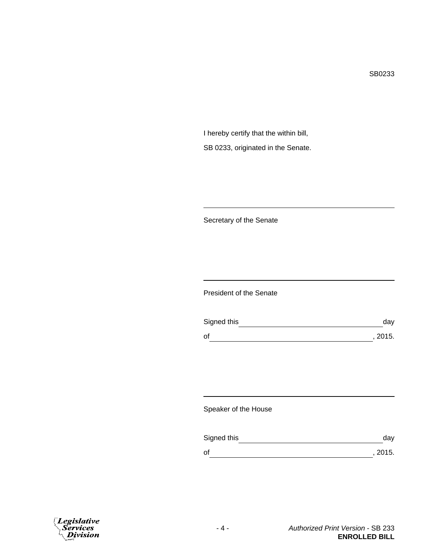SB0233

I hereby certify that the within bill, SB 0233, originated in the Senate.

Secretary of the Senate

President of the Senate

| Signed this | dav     |
|-------------|---------|
| of          | , 2015. |

Speaker of the House

| Signed this | dav     |
|-------------|---------|
| οf          | , 2015. |